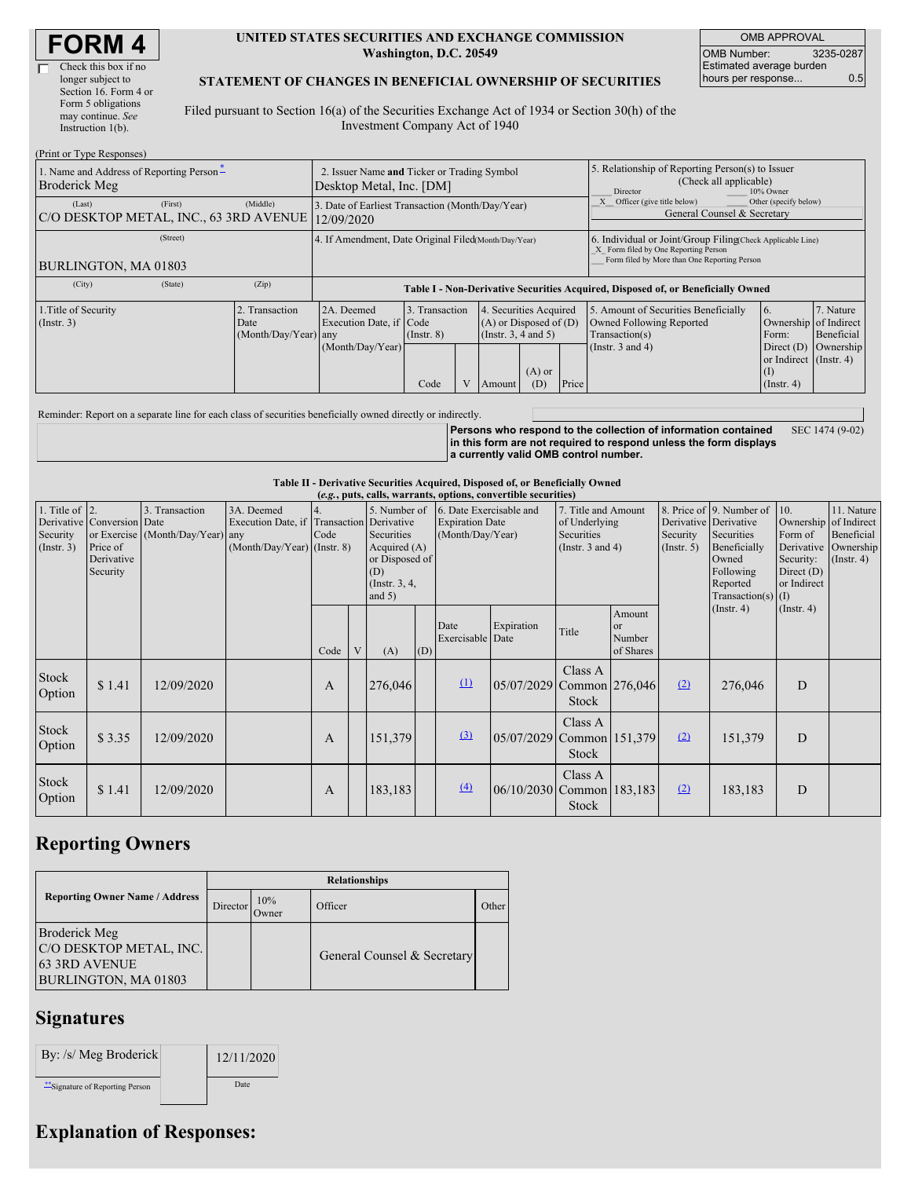#### **UNITED STATES SECURITIES AND EXCHANGE COMMISSION Washington, D.C. 20549**

OMB APPROVAL OMB Number: 3235-0287 Estimated average burden hours per response... 0.5

#### **STATEMENT OF CHANGES IN BENEFICIAL OWNERSHIP OF SECURITIES**

Filed pursuant to Section 16(a) of the Securities Exchange Act of 1934 or Section 30(h) of the Investment Company Act of 1940

| (Print or Type Responses)                                                             |                                                                         |                                                                                  |                                       |  |                                                                                                           |                                                                                                     |       |                                                                                                                                                    |                                                                                                                      |                                      |  |
|---------------------------------------------------------------------------------------|-------------------------------------------------------------------------|----------------------------------------------------------------------------------|---------------------------------------|--|-----------------------------------------------------------------------------------------------------------|-----------------------------------------------------------------------------------------------------|-------|----------------------------------------------------------------------------------------------------------------------------------------------------|----------------------------------------------------------------------------------------------------------------------|--------------------------------------|--|
| 1. Name and Address of Reporting Person-<br><b>Broderick Meg</b>                      | 2. Issuer Name and Ticker or Trading Symbol<br>Desktop Metal, Inc. [DM] |                                                                                  |                                       |  |                                                                                                           | 5. Relationship of Reporting Person(s) to Issuer<br>(Check all applicable)<br>Director<br>10% Owner |       |                                                                                                                                                    |                                                                                                                      |                                      |  |
| (Last)<br>C/O DESKTOP METAL, INC., 63 3RD AVENUE 12/09/2020                           | 3. Date of Earliest Transaction (Month/Day/Year)                        |                                                                                  |                                       |  |                                                                                                           | Other (specify below)<br>Officer (give title below)<br>General Counsel & Secretary                  |       |                                                                                                                                                    |                                                                                                                      |                                      |  |
| BURLINGTON, MA 01803                                                                  |                                                                         | 4. If Amendment, Date Original Filed Month/Day/Year)                             |                                       |  |                                                                                                           |                                                                                                     |       | 6. Individual or Joint/Group Filing Check Applicable Line)<br>X Form filed by One Reporting Person<br>Form filed by More than One Reporting Person |                                                                                                                      |                                      |  |
| (City)                                                                                | (Zip)                                                                   | Table I - Non-Derivative Securities Acquired, Disposed of, or Beneficially Owned |                                       |  |                                                                                                           |                                                                                                     |       |                                                                                                                                                    |                                                                                                                      |                                      |  |
| 1. Title of Security<br>2. Transaction<br>Date<br>(Insert. 3)<br>(Month/Day/Year) any |                                                                         | 2A. Deemed<br>Execution Date, if Code<br>(Month/Day/Year)                        | 3. Transaction<br>(Insert. 8)<br>Code |  | 4. Securities Acquired<br>$(A)$ or Disposed of $(D)$<br>(Insert. 3, 4 and 5)<br>$(A)$ or<br>(D)<br>Amount |                                                                                                     | Price | 5. Amount of Securities Beneficially<br>Owned Following Reported<br>Transaction(s)<br>(Instr. $3$ and $4$ )                                        | <sup>6.</sup><br>Ownership of Indirect<br>Form:<br>Direct $(D)$<br>or Indirect (Instr. 4)<br>(I)<br>$($ Instr. 4 $)$ | 7. Nature<br>Beneficial<br>Ownership |  |

Reminder: Report on a separate line for each class of securities beneficially owned directly or indirectly.

**Persons who respond to the collection of information contained in this form are not required to respond unless the form displays a currently valid OMB control number.** SEC 1474 (9-02)

**Table II - Derivative Securities Acquired, Disposed of, or Beneficially Owned**

| (e.g., puts, calls, warrants, options, convertible securities) |                                                                  |                                                    |                                                                                          |            |   |                                                                                                      |     |                                                                       |                           |                                                                             |                                           |                                                  |                                                                                                                  |                                                                                     |                                                                      |
|----------------------------------------------------------------|------------------------------------------------------------------|----------------------------------------------------|------------------------------------------------------------------------------------------|------------|---|------------------------------------------------------------------------------------------------------|-----|-----------------------------------------------------------------------|---------------------------|-----------------------------------------------------------------------------|-------------------------------------------|--------------------------------------------------|------------------------------------------------------------------------------------------------------------------|-------------------------------------------------------------------------------------|----------------------------------------------------------------------|
| 1. Title of $\vert$ 2.<br>Security<br>(Insert. 3)              | Derivative Conversion Date<br>Price of<br>Derivative<br>Security | 3. Transaction<br>or Exercise (Month/Day/Year) any | 3A. Deemed<br>Execution Date, if Transaction Derivative<br>$(Month/Day/Year)$ (Instr. 8) | 4.<br>Code |   | 5. Number of<br>Securities<br>Acquired $(A)$<br>or Disposed of<br>(D)<br>(Instr. $3, 4,$<br>and $5)$ |     | 6. Date Exercisable and<br><b>Expiration Date</b><br>(Month/Day/Year) |                           | 7. Title and Amount<br>of Underlying<br>Securities<br>(Instr. $3$ and $4$ ) |                                           | Derivative Derivative<br>Security<br>(Insert. 5) | 8. Price of 9. Number of<br>Securities<br>Beneficially<br>Owned<br>Following<br>Reported<br>$Transaction(s)$ (I) | 10.<br>Ownership of Indirect<br>Form of<br>Security:<br>Direct $(D)$<br>or Indirect | 11. Nature<br>Beneficial<br>Derivative Ownership<br>$($ Instr. 4 $)$ |
|                                                                |                                                                  |                                                    |                                                                                          | Code       | V | (A)                                                                                                  | (D) | Date<br>Exercisable Date                                              | Expiration                | Title                                                                       | Amount<br>$\alpha$<br>Number<br>of Shares |                                                  | $($ Instr. 4 $)$                                                                                                 | $($ Instr. 4 $)$                                                                    |                                                                      |
| Stock<br>Option                                                | \$1.41                                                           | 12/09/2020                                         |                                                                                          | A          |   | 276,046                                                                                              |     | $\Omega$                                                              | 05/07/2029 Common 276,046 | Class A<br>Stock                                                            |                                           | (2)                                              | 276,046                                                                                                          | D                                                                                   |                                                                      |
| Stock<br>Option                                                | \$3.35                                                           | 12/09/2020                                         |                                                                                          | A          |   | 151,379                                                                                              |     | $\Omega$                                                              | 05/07/2029 Common 151,379 | Class A<br>Stock                                                            |                                           | (2)                                              | 151,379                                                                                                          | D                                                                                   |                                                                      |
| Stock<br>Option                                                | \$1.41                                                           | 12/09/2020                                         |                                                                                          | A          |   | 183,183                                                                                              |     | $\Delta$                                                              | 06/10/2030 Common 183,183 | Class A<br>Stock                                                            |                                           | (2)                                              | 183,183                                                                                                          | D                                                                                   |                                                                      |

### **Reporting Owners**

|                                                                                          | <b>Relationships</b> |              |                             |       |  |  |  |  |  |
|------------------------------------------------------------------------------------------|----------------------|--------------|-----------------------------|-------|--|--|--|--|--|
| <b>Reporting Owner Name / Address</b>                                                    | Director             | 10%<br>Owner | Officer                     | Other |  |  |  |  |  |
| Broderick Meg<br>C/O DESKTOP METAL, INC.<br><b>63 3RD AVENUE</b><br>BURLINGTON, MA 01803 |                      |              | General Counsel & Secretary |       |  |  |  |  |  |

## **Signatures**

| By: /s/ Meg Broderick         | 12/11/2020 |
|-------------------------------|------------|
| Signature of Reporting Person | Date       |

# **Explanation of Responses:**